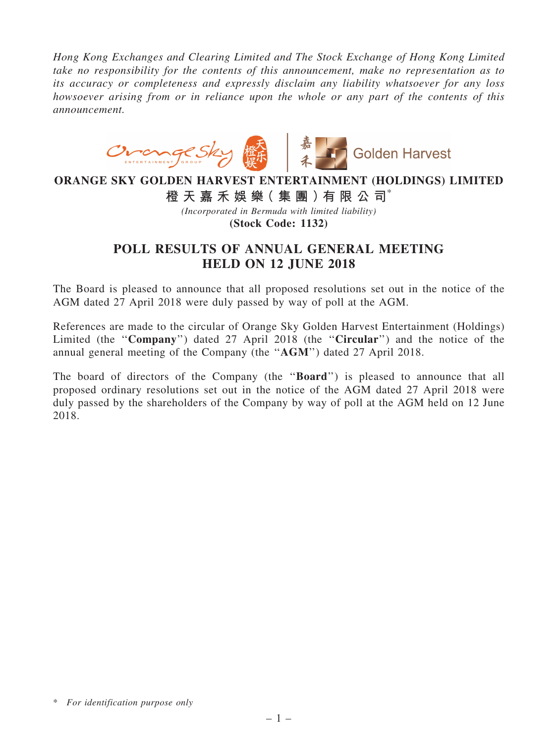*Hong Kong Exchanges and Clearing Limited and The Stock Exchange of Hong Kong Limited take no responsibility for the contents of this announcement, make no representation as to its accuracy or completeness and expressly disclaim any liability whatsoever for any loss howsoever arising from or in reliance upon the whole or any part of the contents of this announcement.*



## ORANGE SKY GOLDEN HARVEST ENTERTAINMENT (HOLDINGS) LIMITED

橙 天 嘉 禾 娛 樂( 集 團 )有 限 公 司\*

*(Incorporated in Bermuda with limited liability)*

(Stock Code: 1132)

## POLL RESULTS OF ANNUAL GENERAL MEETING HELD ON 12 JUNE 2018

The Board is pleased to announce that all proposed resolutions set out in the notice of the AGM dated 27 April 2018 were duly passed by way of poll at the AGM.

References are made to the circular of Orange Sky Golden Harvest Entertainment (Holdings) Limited (the "Company") dated 27 April 2018 (the "Circular") and the notice of the annual general meeting of the Company (the ''AGM'') dated 27 April 2018.

The board of directors of the Company (the "**Board**") is pleased to announce that all proposed ordinary resolutions set out in the notice of the AGM dated 27 April 2018 were duly passed by the shareholders of the Company by way of poll at the AGM held on 12 June 2018.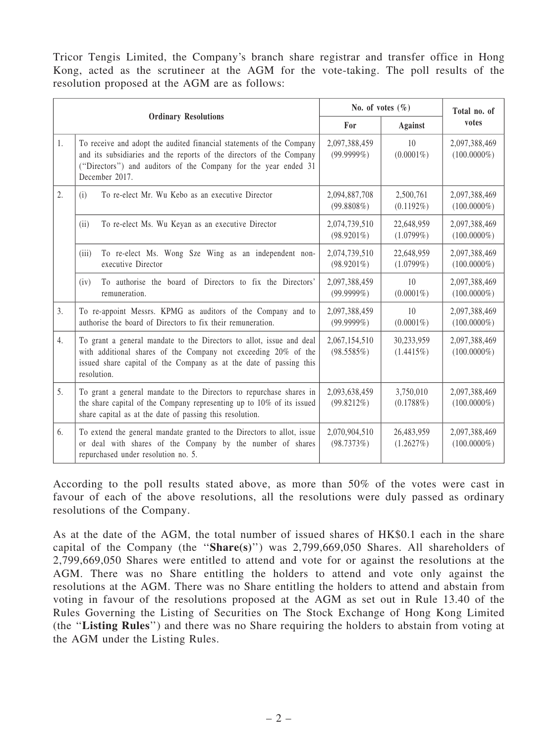Tricor Tengis Limited, the Company's branch share registrar and transfer office in Hong Kong, acted as the scrutineer at the AGM for the vote-taking. The poll results of the resolution proposed at the AGM are as follows:

| <b>Ordinary Resolutions</b> |                                                                                                                                                                                                                                   | No. of votes $(\% )$           |                                 | Total no. of                    |
|-----------------------------|-----------------------------------------------------------------------------------------------------------------------------------------------------------------------------------------------------------------------------------|--------------------------------|---------------------------------|---------------------------------|
|                             |                                                                                                                                                                                                                                   | For                            | <b>Against</b>                  | votes                           |
| 1.                          | To receive and adopt the audited financial statements of the Company<br>and its subsidiaries and the reports of the directors of the Company<br>("Directors") and auditors of the Company for the year ended 31<br>December 2017. | 2,097,388,459<br>$(99.9999\%)$ | 10 <sup>1</sup><br>$(0.0001\%)$ | 2,097,388,469<br>$(100.0000\%)$ |
| 2.                          | To re-elect Mr. Wu Kebo as an executive Director<br>(i)                                                                                                                                                                           | 2,094,887,708<br>$(99.8808\%)$ | 2,500,761<br>$(0.1192\%)$       | 2,097,388,469<br>$(100.0000\%)$ |
|                             | To re-elect Ms. Wu Keyan as an executive Director<br>(ii)                                                                                                                                                                         | 2,074,739,510<br>$(98.9201\%)$ | 22,648,959<br>$(1.0799\%)$      | 2,097,388,469<br>$(100.0000\%)$ |
|                             | To re-elect Ms. Wong Sze Wing as an independent non-<br>(iii)<br>executive Director                                                                                                                                               | 2,074,739,510<br>$(98.9201\%)$ | 22,648,959<br>$(1.0799\%)$      | 2,097,388,469<br>$(100.0000\%)$ |
|                             | To authorise the board of Directors to fix the Directors'<br>(iv)<br>remuneration.                                                                                                                                                | 2,097,388,459<br>$(99.9999\%)$ | 10<br>$(0.0001\%)$              | 2,097,388,469<br>$(100.0000\%)$ |
| 3.                          | To re-appoint Messrs. KPMG as auditors of the Company and to<br>authorise the board of Directors to fix their remuneration.                                                                                                       | 2,097,388,459<br>$(99.9999\%)$ | 10<br>$(0.0001\%)$              | 2,097,388,469<br>$(100.0000\%)$ |
| 4.                          | To grant a general mandate to the Directors to allot, issue and deal<br>with additional shares of the Company not exceeding 20% of the<br>issued share capital of the Company as at the date of passing this<br>resolution.       | 2,067,154,510<br>(98.5585%)    | 30,233,959<br>(1.4415%)         | 2,097,388,469<br>$(100.0000\%)$ |
| 5.                          | To grant a general mandate to the Directors to repurchase shares in<br>the share capital of the Company representing up to 10% of its issued<br>share capital as at the date of passing this resolution.                          | 2,093,638,459<br>(99.8212%)    | 3,750,010<br>$(0.1788\%)$       | 2,097,388,469<br>$(100.0000\%)$ |
| 6.                          | To extend the general mandate granted to the Directors to allot, issue<br>or deal with shares of the Company by the number of shares<br>repurchased under resolution no. 5.                                                       | 2,070,904,510<br>(98.7373%)    | 26,483,959<br>(1.2627%)         | 2,097,388,469<br>$(100.0000\%)$ |

According to the poll results stated above, as more than 50% of the votes were cast in favour of each of the above resolutions, all the resolutions were duly passed as ordinary resolutions of the Company.

As at the date of the AGM, the total number of issued shares of HK\$0.1 each in the share capital of the Company (the " $Share(s)$ ") was 2,799,669,050 Shares. All shareholders of 2,799,669,050 Shares were entitled to attend and vote for or against the resolutions at the AGM. There was no Share entitling the holders to attend and vote only against the resolutions at the AGM. There was no Share entitling the holders to attend and abstain from voting in favour of the resolutions proposed at the AGM as set out in Rule 13.40 of the Rules Governing the Listing of Securities on The Stock Exchange of Hong Kong Limited (the ''Listing Rules'') and there was no Share requiring the holders to abstain from voting at the AGM under the Listing Rules.